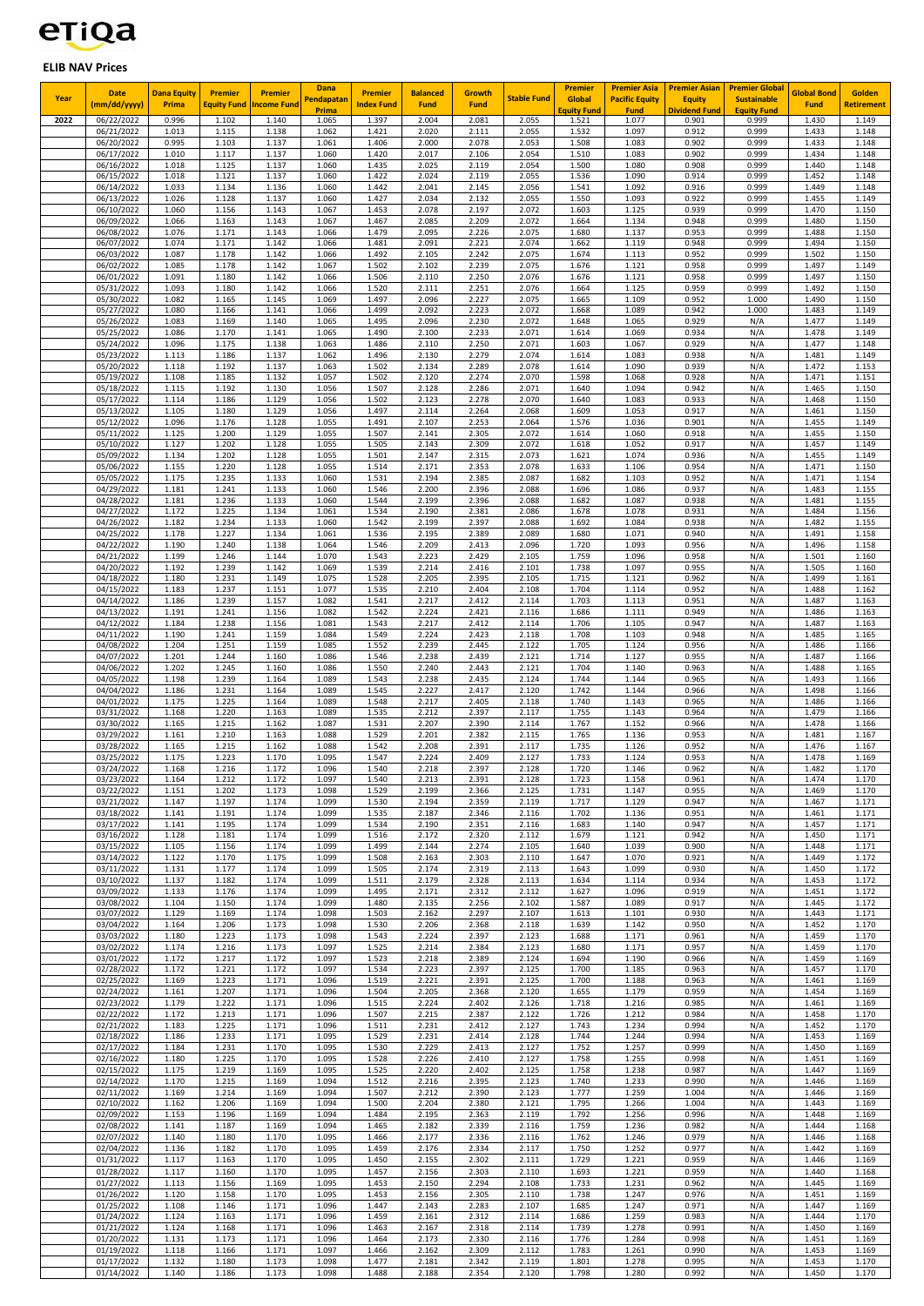## etiqa

## **ELIB NAV Prices**

| Year | <b>Date</b>                | <b>Dana Equity</b> | <b>Premier</b>              | <b>Premier</b>      | Dana<br>Pendapatan | <b>Premier</b>             | <b>Balanced</b> | Growth               | <b>Stable Fund</b> | <b>Premier</b><br>Global            | <b>Premier Asia</b><br><b>Pacific Equity</b> | <b>Premier Asian</b><br><b>Equity</b> | <b>Premier Global</b><br><b>Sustainable</b> | <b>Global Bond</b> | Golden                     |
|------|----------------------------|--------------------|-----------------------------|---------------------|--------------------|----------------------------|-----------------|----------------------|--------------------|-------------------------------------|----------------------------------------------|---------------------------------------|---------------------------------------------|--------------------|----------------------------|
| 2022 | (mm/dd/yyyy)<br>06/22/2022 | Prima<br>0.996     | <b>Equity Fund</b><br>1.102 | ncome Fund<br>1.140 | Prima<br>1.065     | <b>Index Fund</b><br>1.397 | Fund<br>2.004   | <b>Fund</b><br>2.081 | 2.055              | E <mark>quity Fun</mark> d<br>1.521 | <b>Fund</b><br>1.077                         | <mark>Dividend Fund</mark><br>0.901   | <b>Equity Fund</b><br>0.999                 | Fund<br>1.430      | <b>Retirement</b><br>1.149 |
|      | 06/21/2022                 | 1.013              | 1.115                       | 1.138               | 1.062              | 1.421                      | 2.020           | 2.111                | 2.055              | 1.532                               | 1.097                                        | 0.912                                 | 0.999                                       | 1.433              | 1.148                      |
|      | 06/20/2022                 | 0.995<br>1.010     | 1.103<br>1.117              | 1.137<br>1.137      | 1.061<br>1.060     | 1.406                      | 2.000<br>2.017  | 2.078                | 2.053<br>2.054     | 1.508                               | 1.083                                        | 0.902                                 | 0.999<br>0.999                              | 1.433<br>1.434     | 1.148                      |
|      | 06/17/2022<br>06/16/2022   | 1.018              | 1.125                       | 1.137               | 1.060              | 1.420<br>1.435             | 2.025           | 2.106<br>2.119       | 2.054              | 1.510<br>1.500                      | 1.083<br>1.080                               | 0.902<br>0.908                        | 0.999                                       | 1.440              | 1.148<br>1.148             |
|      | 06/15/2022<br>06/14/2022   | 1.018<br>1.033     | 1.121<br>1.134              | 1.137<br>1.136      | 1.060<br>1.060     | 1.422<br>1.442             | 2.024<br>2.041  | 2.119<br>2.145       | 2.055<br>2.056     | 1.536<br>1.541                      | 1.090<br>1.092                               | 0.914<br>0.916                        | 0.999<br>0.999                              | 1.452<br>1.449     | 1.148<br>1.148             |
|      | 06/13/2022                 | 1.026              | 1.128                       | 1.137               | 1.060              | 1.427                      | 2.034           | 2.132                | 2.055              | 1.550                               | 1.093                                        | 0.922                                 | 0.999                                       | 1.455              | 1.149                      |
|      | 06/10/2022<br>06/09/2022   | 1.060<br>1.066     | 1.156<br>1.163              | 1.143<br>1.143      | 1.067<br>1.067     | 1.453<br>1.467             | 2.078<br>2.085  | 2.197<br>2.209       | 2.072<br>2.072     | 1.603<br>1.664                      | 1.125<br>1.134                               | 0.939<br>0.948                        | 0.999<br>0.999                              | 1.470<br>1.480     | 1.150<br>1.150             |
|      | 06/08/2022                 | 1.076              | 1.171                       | 1.143               | 1.066              | 1.479                      | 2.095           | 2.226                | 2.075              | 1.680                               | 1.137                                        | 0.953                                 | 0.999                                       | 1.488              | 1.150                      |
|      | 06/07/2022<br>06/03/2022   | 1.074<br>1.087     | 1.171<br>1.178              | 1.142<br>1.142      | 1.066<br>1.066     | 1.481<br>1.492             | 2.091<br>2.105  | 2.221<br>2.242       | 2.074<br>2.075     | 1.662<br>1.674                      | 1.119<br>1.113                               | 0.948<br>0.952                        | 0.999<br>0.999                              | 1.494<br>1.502     | 1.150<br>1.150             |
|      | 06/02/2022                 | 1.085              | 1.178                       | 1.142               | 1.067              | 1.502                      | 2.102           | 2.239                | 2.075              | 1.676                               | 1.121                                        | 0.958                                 | 0.999                                       | 1.497              | 1.149                      |
|      | 06/01/2022<br>05/31/2022   | 1.091<br>1.093     | 1.180<br>1.180              | 1.142<br>1.142      | 1.066<br>1.066     | 1.506<br>1.520             | 2.110<br>2.111  | 2.250<br>2.251       | 2.076<br>2.076     | 1.676<br>1.664                      | 1.121<br>1.125                               | 0.958<br>0.959                        | 0.999<br>0.999                              | 1.497<br>1.492     | 1.150<br>1.150             |
|      | 05/30/2022                 | 1.082              | 1.165                       | 1.145               | 1.069              | 1.497                      | 2.096           | 2.227                | 2.075              | 1.665                               | 1.109                                        | 0.952                                 | 1.000                                       | 1.490              | 1.150                      |
|      | 05/27/2022<br>05/26/2022   | 1.080<br>1.083     | 1.166<br>1.169              | 1.141<br>1.140      | 1.066<br>1.065     | 1.499<br>1.495             | 2.092<br>2.096  | 2.223<br>2.230       | 2.072<br>2.072     | 1.668<br>1.648                      | 1.089<br>1.065                               | 0.942<br>0.929                        | 1.000<br>N/A                                | 1.483<br>1.477     | 1.149<br>1.149             |
|      | 05/25/2022                 | 1.086              | 1.170                       | 1.141               | 1.065              | 1.490                      | 2.100           | 2.233                | 2.071              | 1.614                               | 1.069                                        | 0.934                                 | N/A                                         | 1.478              | 1.149                      |
|      | 05/24/2022<br>05/23/2022   | 1.096<br>1.113     | 1.175<br>1.186              | 1.138<br>1.137      | 1.063<br>1.062     | 1.486<br>1.496             | 2.110<br>2.130  | 2.250<br>2.279       | 2.071<br>2.074     | 1.603<br>1.614                      | 1.067<br>1.083                               | 0.929<br>0.938                        | N/A<br>N/A                                  | 1.477<br>1.481     | 1.148<br>1.149             |
|      | 05/20/2022                 | 1.118<br>1.108     | 1.192                       | 1.137               | 1.063<br>1.057     | 1.502                      | 2.134           | 2.289<br>2.274       | 2.078<br>2.070     | 1.614                               | 1.090                                        | 0.939                                 | N/A<br>N/A                                  | 1.472<br>1.471     | 1.153                      |
|      | 05/19/2022<br>05/18/2022   | 1.115              | 1.185<br>1.192              | 1.132<br>1.130      | 1.056              | 1.502<br>1.507             | 2.120<br>2.128  | 2.286                | 2.071              | 1.598<br>1.640                      | 1.068<br>1.094                               | 0.928<br>0.942                        | N/A                                         | 1.465              | 1.151<br>1.150             |
|      | 05/17/2022<br>05/13/2022   | 1.114<br>1.105     | 1.186<br>1.180              | 1.129<br>1.129      | 1.056<br>1.056     | 1.502<br>1.497             | 2.123<br>2.114  | 2.278<br>2.264       | 2.070<br>2.068     | 1.640<br>1.609                      | 1.083<br>1.053                               | 0.933<br>0.917                        | N/A<br>N/A                                  | 1.468<br>1.461     | 1.150<br>1.150             |
|      | 05/12/2022                 | 1.096              | 1.176                       | 1.128               | 1.055              | 1.491                      | 2.107           | 2.253                | 2.064              | 1.576                               | 1.036                                        | 0.901                                 | N/A                                         | 1.455              | 1.149                      |
|      | 05/11/2022<br>05/10/2022   | 1.125<br>1.127     | 1.200<br>1.202              | 1.129<br>1.128      | 1.055<br>1.055     | 1.507<br>1.505             | 2.141<br>2.143  | 2.305<br>2.309       | 2.072<br>2.072     | 1.614<br>1.618                      | 1.060<br>1.052                               | 0.918<br>0.917                        | N/A<br>N/A                                  | 1.455<br>1.457     | 1.150<br>1.149             |
|      | 05/09/2022                 | 1.134              | 1.202                       | 1.128               | 1.055              | 1.501                      | 2.147           | 2.315                | 2.073              | 1.621                               | 1.074                                        | 0.936                                 | N/A                                         | 1.455              | 1.149                      |
|      | 05/06/2022<br>05/05/2022   | 1.155<br>1.175     | 1.220<br>1.235              | 1.128<br>1.133      | 1.055<br>1.060     | 1.514<br>1.531             | 2.171<br>2.194  | 2.353<br>2.385       | 2.078<br>2.087     | 1.633<br>1.682                      | 1.106<br>1.103                               | 0.954<br>0.952                        | N/A<br>N/A                                  | 1.471<br>1.471     | 1.150<br>1.154             |
|      | 04/29/2022                 | 1.181              | 1.241                       | 1.133               | 1.060              | 1.546                      | 2.200           | 2.396                | 2.088              | 1.696                               | 1.086                                        | 0.937                                 | N/A                                         | 1.483              | 1.155                      |
|      | 04/28/2022<br>04/27/2022   | 1.181<br>1.172     | 1.236<br>1.225              | 1.133<br>1.134      | 1.060<br>1.061     | 1.544<br>1.534             | 2.199<br>2.190  | 2.396<br>2.381       | 2.088<br>2.086     | 1.682<br>1.678                      | 1.087<br>1.078                               | 0.938<br>0.931                        | N/A<br>N/A                                  | 1.481<br>1.484     | 1.155<br>1.156             |
|      | 04/26/2022                 | 1.182              | 1.234                       | 1.133               | 1.060              | 1.542                      | 2.199           | 2.397                | 2.088              | 1.692                               | 1.084                                        | 0.938                                 | N/A                                         | 1.482              | 1.155                      |
|      | 04/25/2022<br>04/22/2022   | 1.178<br>1.190     | 1.227<br>1.240              | 1.134<br>1.138      | 1.061<br>1.064     | 1.536<br>1.546             | 2.195<br>2.209  | 2.389<br>2.413       | 2.089<br>2.096     | 1.680<br>1.720                      | 1.071<br>1.093                               | 0.940<br>0.956                        | N/A<br>N/A                                  | 1.491<br>1.496     | 1.158<br>1.158             |
|      | 04/21/2022                 | 1.199              | 1.246                       | 1.144               | 1.070              | 1.543                      | 2.223           | 2.429                | 2.105              | 1.759<br>1.738                      | 1.096                                        | 0.958                                 | N/A                                         | 1.501              | 1.160                      |
|      | 04/20/2022<br>04/18/2022   | 1.192<br>1.180     | 1.239<br>1.231              | 1.142<br>1.149      | 1.069<br>1.075     | 1.539<br>1.528             | 2.214<br>2.205  | 2.416<br>2.395       | 2.101<br>2.105     | 1.715                               | 1.097<br>1.121                               | 0.955<br>0.962                        | N/A<br>N/A                                  | 1.505<br>1.499     | 1.160<br>1.161             |
|      | 04/15/2022<br>04/14/2022   | 1.183<br>1.186     | 1.237<br>1.239              | 1.151<br>1.157      | 1.077<br>1.082     | 1.535<br>1.541             | 2.210<br>2.217  | 2.404<br>2.412       | 2.108<br>2.114     | 1.704<br>1.703                      | 1.114<br>1.113                               | 0.952<br>0.951                        | N/A<br>N/A                                  | 1.488<br>1.487     | 1.162<br>1.163             |
|      | 04/13/2022                 | 1.191              | 1.241                       | 1.156               | 1.082              | 1.542                      | 2.224           | 2.421                | 2.116              | 1.686                               | 1.111                                        | 0.949                                 | N/A                                         | 1.486              | 1.163                      |
|      | 04/12/2022<br>04/11/2022   | 1.184<br>1.190     | 1.238<br>1.241              | 1.156<br>1.159      | 1.081<br>1.084     | 1.543<br>1.549             | 2.217<br>2.224  | 2.412<br>2.423       | 2.114<br>2.118     | 1.706<br>1.708                      | 1.105<br>1.103                               | 0.947<br>0.948                        | N/A<br>N/A                                  | 1.487<br>1.485     | 1.163<br>1.165             |
|      | 04/08/2022                 | 1.204              | 1.251                       | 1.159               | 1.085              | 1.552                      | 2.239           | 2.445                | 2.122              | 1.705                               | 1.124                                        | 0.956                                 | N/A                                         | 1.486              | 1.166                      |
|      | 04/07/2022<br>04/06/2022   | 1.201<br>1.202     | 1.244<br>1.245              | 1.160<br>1.160      | 1.086<br>1.086     | 1.546<br>1.550             | 2.238<br>2.240  | 2.439<br>2.443       | 2.121<br>2.121     | 1.714<br>1.704                      | 1.127<br>1.140                               | 0.955<br>0.963                        | N/A<br>N/A                                  | 1.487<br>1.488     | 1.166<br>1.165             |
|      | 04/05/2022                 | 1.198              | 1.239                       | 1.164               | 1.089              | 1.543                      | 2.238           | 2.435                | 2.124              | 1.744                               | 1.144                                        | 0.965                                 | N/A                                         | 1.493              | 1.166                      |
|      | 04/04/2022<br>04/01/2022   | 1.186<br>1.175     | 1.231<br>1.225              | 1.164<br>1.164      | 1.089<br>1.089     | 1.545<br>1.548             | 2.227<br>2.217  | 2.417<br>2.405       | 2.120<br>2.118     | 1.742<br>1.740                      | 1.144<br>1.143                               | 0.966<br>0.965                        | N/A<br>N/A                                  | 1.498<br>1.486     | 1.166<br>1.166             |
|      | 03/31/2022                 | 1.168              | 1.220                       | 1.163               | 1.089              | 1.535                      | 2.212           | 2.397                | 2.117              | 1.755                               | 1.143                                        | 0.964                                 | N/A                                         | 1.479              | 1.166                      |
|      | 03/30/2022<br>03/29/2022   | 1.165<br>1.161     | 1.215<br>1.210              | 1.162<br>1.163      | 1.087<br>1.088     | 1.531<br>1.529             | 2.207<br>2.201  | 2.390<br>2.382       | 2.114<br>2.115     | 1.767<br>1.765                      | 1.152<br>1.136                               | 0.966<br>0.953                        | N/A<br>N/A                                  | 1.478<br>1.481     | 1.166<br>1.167             |
|      | 03/28/2022                 | 1.165              | 1.215                       | 1.162               | 1.088              | 1.542                      | 2.208           | 2.391                | 2.117              | 1.735                               | 1.126                                        | 0.952                                 | N/A                                         | 1.476              | 1.167                      |
|      | 03/25/2022<br>03/24/2022   | 1.175<br>1.168     | 1.223<br>1.216              | 1.170<br>1.172      | 1.095<br>1.096     | 1.547<br>1.540             | 2.224<br>2.218  | 2.409<br>2.397       | 2.127<br>2.128     | 1.733<br>1.720                      | 1.124<br>1.146                               | 0.953<br>0.962                        | N/A<br>N/A                                  | 1.478<br>1.482     | 1.169<br>1.170             |
|      | 03/23/2022                 | 1.164<br>1.151     | 1.212                       | 1.172               | 1.097              | 1.540<br>1.529             | 2.213           | 2.391                | 2.128              | 1.723                               | 1.158                                        | 0.961                                 | N/A                                         | 1.474<br>1.469     | 1.170<br>1.170             |
|      | 03/22/2022<br>03/21/2022   | 1.147              | 1.202<br>1.197              | 1.173<br>1.174      | 1.098<br>1.099     | 1.530                      | 2.199<br>2.194  | 2.366<br>2.359       | 2.125<br>2.119     | 1.731<br>1.717                      | 1.147<br>1.129                               | 0.955<br>0.947                        | N/A<br>N/A                                  | 1.467              | 1.171                      |
|      | 03/18/2022<br>03/17/2022   | 1.141<br>1.141     | 1.191<br>1.195              | 1.174<br>1.174      | 1.099<br>1.099     | 1.535<br>1.534             | 2.187<br>2.190  | 2.346<br>2.351       | 2.116<br>2.116     | 1.702<br>1.683                      | 1.136<br>1.140                               | 0.951<br>0.947                        | N/A<br>N/A                                  | 1.461<br>1.457     | 1.171<br>1.171             |
|      | 03/16/2022                 | 1.128              | 1.181                       | 1.174               | 1.099              | 1.516                      | 2.172           | 2.320                | 2.112              | 1.679                               | 1.121                                        | 0.942                                 | N/A                                         | 1.450              | 1.171                      |
|      | 03/15/2022<br>03/14/2022   | 1.105<br>1.122     | 1.156<br>1.170              | 1.174<br>1.175      | 1.099<br>1.099     | 1.499<br>1.508             | 2.144<br>2.163  | 2.274<br>2.303       | 2.105<br>2.110     | 1.640<br>1.647                      | 1.039<br>1.070                               | 0.900<br>0.921                        | N/A<br>N/A                                  | 1.448<br>1.449     | 1.171<br>1.172             |
|      | 03/11/2022                 | 1.131              | 1.177                       | 1.174               | 1.099              | 1.505                      | 2.174           | 2.319                | 2.113              | 1.643                               | 1.099                                        | 0.930                                 | N/A                                         | 1.450              | 1.172                      |
|      | 03/10/2022<br>03/09/2022   | 1.137<br>1.133     | 1.182<br>1.176              | 1.174<br>1.174      | 1.099<br>1.099     | 1.511<br>1.495             | 2.179<br>2.171  | 2.328<br>2.312       | 2.113<br>2.112     | 1.634<br>1.627                      | 1.114<br>1.096                               | 0.934<br>0.919                        | N/A<br>N/A                                  | 1.453<br>1.451     | 1.172<br>1.172             |
|      | 03/08/2022                 | 1.104<br>1.129     | 1.150                       | 1.174<br>1.174      | 1.099<br>1.098     | 1.480<br>1.503             | 2.135           | 2.256<br>2.297       | 2.102              | 1.587                               | 1.089                                        | 0.917                                 | N/A                                         | 1.445<br>1.443     | 1.172                      |
|      | 03/07/2022<br>03/04/2022   | 1.164              | 1.169<br>1.206              | 1.173               | 1.098              | 1.530                      | 2.162<br>2.206  | 2.368                | 2.107<br>2.118     | 1.613<br>1.639                      | 1.101<br>1.142                               | 0.930<br>0.950                        | N/A<br>N/A                                  | 1.452              | 1.171<br>1.170             |
|      | 03/03/2022<br>03/02/2022   | 1.180<br>1.174     | 1.223<br>1.216              | 1.173<br>1.173      | 1.098<br>1.097     | 1.543<br>1.525             | 2.224<br>2.214  | 2.397<br>2.384       | 2.123<br>2.123     | 1.688<br>1.680                      | 1.171<br>1.171                               | 0.961<br>0.957                        | N/A<br>N/A                                  | 1.459<br>1.459     | 1.170<br>1.170             |
|      | 03/01/2022                 | 1.172              | 1.217                       | 1.172               | 1.097              | 1.523                      | 2.218           | 2.389                | 2.124              | 1.694                               | 1.190                                        | 0.966                                 | N/A                                         | 1.459              | 1.169                      |
|      | 02/28/2022<br>02/25/2022   | 1.172<br>1.169     | 1.221<br>1.223              | 1.172<br>1.171      | 1.097<br>1.096     | 1.534<br>1.519             | 2.223<br>2.221  | 2.397<br>2.391       | 2.125<br>2.125     | 1.700<br>1.700                      | 1.185<br>1.188                               | 0.963<br>0.963                        | N/A<br>N/A                                  | 1.457<br>1.461     | 1.170<br>1.169             |
|      | 02/24/2022                 | 1.161              | 1.207                       | 1.171               | 1.096              | 1.504                      | 2.205           | 2.368                | 2.120              | 1.655                               | 1.179                                        | 0.959                                 | N/A                                         | 1.454              | 1.169                      |
|      | 02/23/2022<br>02/22/2022   | 1.179<br>1.172     | 1.222<br>1.213              | 1.171<br>1.171      | 1.096<br>1.096     | 1.515<br>1.507             | 2.224<br>2.215  | 2.402<br>2.387       | 2.126<br>2.122     | 1.718<br>1.726                      | 1.216<br>1.212                               | 0.985<br>0.984                        | N/A<br>N/A                                  | 1.461<br>1.458     | 1.169<br>1.170             |
|      | 02/21/2022                 | 1.183              | 1.225                       | 1.171               | 1.096              | 1.511                      | 2.231           | 2.412                | 2.127              | 1.743                               | 1.234                                        | 0.994                                 | N/A                                         | 1.452              | 1.170                      |
|      | 02/18/2022<br>02/17/2022   | 1.186<br>1.184     | 1.233<br>1.231              | 1.171<br>1.170      | 1.095<br>1.095     | 1.529<br>1.530             | 2.231<br>2.229  | 2.414<br>2.413       | 2.128<br>2.127     | 1.744<br>1.752                      | 1.244<br>1.257                               | 0.994<br>0.999                        | N/A<br>N/A                                  | 1.453<br>1.450     | 1.169<br>1.169             |
|      | 02/16/2022<br>02/15/2022   | 1.180<br>1.175     | 1.225<br>1.219              | 1.170<br>1.169      | 1.095<br>1.095     | 1.528<br>1.525             | 2.226<br>2.220  | 2.410<br>2.402       | 2.127<br>2.125     | 1.758<br>1.758                      | 1.255<br>1.238                               | 0.998<br>0.987                        | N/A<br>N/A                                  | 1.451<br>1.447     | 1.169<br>1.169             |
|      | 02/14/2022                 | 1.170              | 1.215                       | 1.169               | 1.094              | 1.512                      | 2.216           | 2.395                | 2.123              | 1.740                               | 1.233                                        | 0.990                                 | N/A                                         | 1.446              | 1.169                      |
|      | 02/11/2022<br>02/10/2022   | 1.169<br>1.162     | 1.214<br>1.206              | 1.169<br>1.169      | 1.094<br>1.094     | 1.507<br>1.500             | 2.212<br>2.204  | 2.390<br>2.380       | 2.123<br>2.121     | 1.777<br>1.795                      | 1.259<br>1.266                               | 1.004<br>1.004                        | N/A<br>N/A                                  | 1.446<br>1.443     | 1.169<br>1.169             |
|      | 02/09/2022                 | 1.153              | 1.196                       | 1.169               | 1.094              | 1.484                      | 2.195           | 2.363                | 2.119              | 1.792                               | 1.256                                        | 0.996                                 | N/A                                         | 1.448              | 1.169                      |
|      | 02/08/2022<br>02/07/2022   | 1.141<br>1.140     | 1.187<br>1.180              | 1.169<br>1.170      | 1.094<br>1.095     | 1.465<br>1.466             | 2.182<br>2.177  | 2.339<br>2.336       | 2.116<br>2.116     | 1.759<br>1.762                      | 1.236<br>1.246                               | 0.982<br>0.979                        | N/A<br>N/A                                  | 1.444<br>1.446     | 1.168<br>1.168             |
|      | 02/04/2022                 | 1.136              | 1.182                       | 1.170               | 1.095              | 1.459                      | 2.176           | 2.334                | 2.117              | 1.750                               | 1.252                                        | 0.977                                 | N/A                                         | 1.442              | 1.169                      |
|      | 01/31/2022<br>01/28/2022   | 1.117<br>1.117     | 1.163<br>1.160              | 1.170<br>1.170      | 1.095<br>1.095     | 1.450<br>1.457             | 2.155<br>2.156  | 2.302<br>2.303       | 2.111<br>2.110     | 1.729<br>1.693                      | 1.221<br>1.221                               | 0.959<br>0.959                        | N/A<br>N/A                                  | 1.446<br>1.440     | 1.169<br>1.168             |
|      | 01/27/2022                 | 1.113              | 1.156                       | 1.169               | 1.095              | 1.453                      | 2.150           | 2.294                | 2.108              | 1.733                               | 1.231                                        | 0.962                                 | N/A                                         | 1.445              | 1.169                      |
|      | 01/26/2022<br>01/25/2022   | 1.120<br>1.108     | 1.158<br>1.146              | 1.170<br>1.171      | 1.095<br>1.096     | 1.453<br>1.447             | 2.156<br>2.143  | 2.305<br>2.283       | 2.110<br>2.107     | 1.738<br>1.685                      | 1.247<br>1.247                               | 0.976<br>0.971                        | N/A<br>N/A                                  | 1.451<br>1.447     | 1.169<br>1.169             |
|      | 01/24/2022                 | 1.124              | 1.163                       | 1.171               | 1.096              | 1.459                      | 2.161           | 2.312                | 2.114              | 1.686                               | 1.259                                        | 0.983                                 | N/A                                         | 1.444              | 1.170                      |
|      | 01/21/2022<br>01/20/2022   | 1.124<br>1.131     | 1.168<br>1.173              | 1.171<br>1.171      | 1.096<br>1.096     | 1.463<br>1.464             | 2.167<br>2.173  | 2.318<br>2.330       | 2.114<br>2.116     | 1.739<br>1.776                      | 1.278<br>1.284                               | 0.991<br>0.998                        | N/A<br>N/A                                  | 1.450<br>1.451     | 1.169<br>1.169             |
|      | 01/19/2022<br>01/17/2022   | 1.118<br>1.132     | 1.166<br>1.180              | 1.171<br>1.173      | 1.097<br>1.098     | 1.466<br>1.477             | 2.162<br>2.181  | 2.309<br>2.342       | 2.112<br>2.119     | 1.783<br>1.801                      | 1.261<br>1.278                               | 0.990<br>0.995                        | N/A<br>N/A                                  | 1.453<br>1.453     | 1.169<br>1.170             |
|      | 01/14/2022                 | 1.140              | 1.186                       | 1.173               | 1.098              | 1.488                      | 2.188           | 2.354                | 2.120              | 1.798                               | 1.280                                        | 0.992                                 | N/A                                         | 1.450              | 1.170                      |